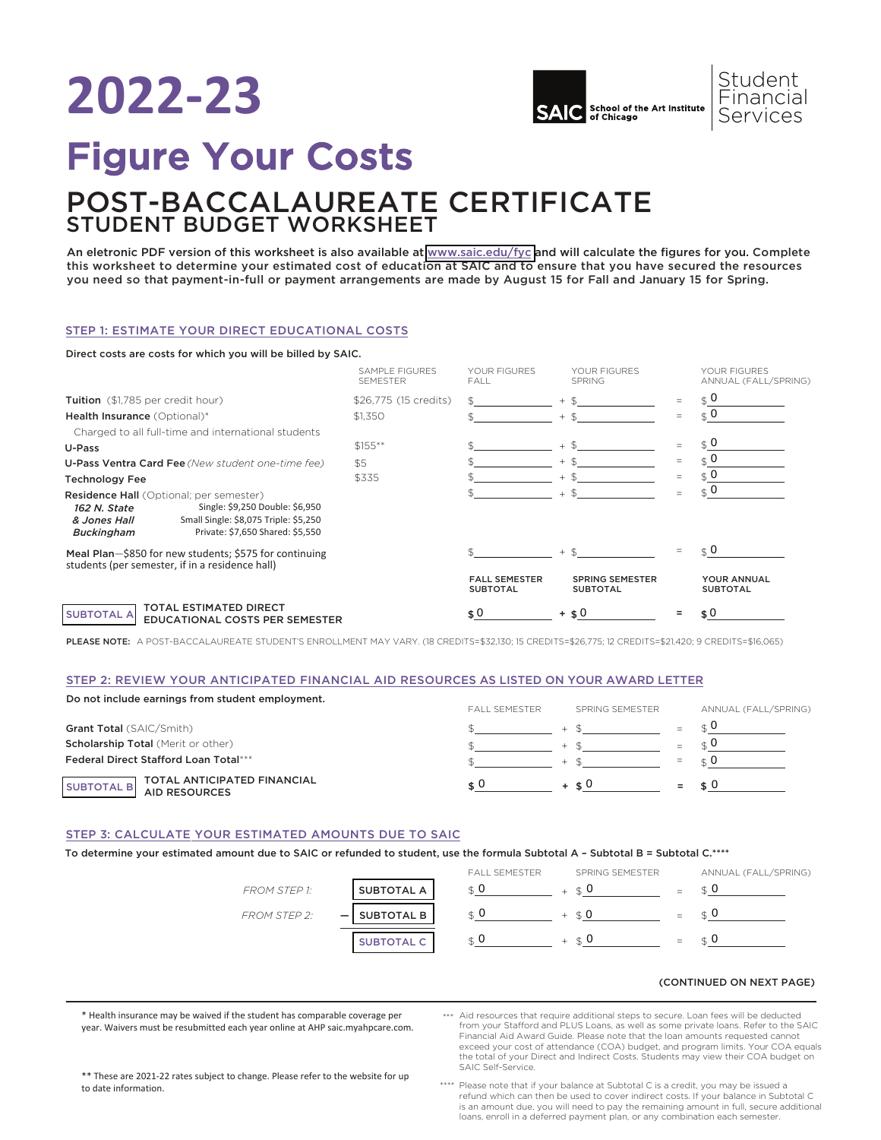# **2022-23**



## Figure Your Costs

### POST-BACCALAUREATE CERTIFICATE STUDENT BUDGET WORKSHEET

An eletronic PDF version of this worksheet is also available at [www.saic.edu/fyc a](https://www.saic.edu/tuition/figure-your-costs)nd will calculate the figures for you. Complete this worksheet to determine your estimated cost of education at SAIC and to ensure that you have secured the resources you need so that payment-in-full or payment arrangements are made by August 15 for Fall and January 15 for Spring.

#### STEP 1: ESTIMATE YOUR DIRECT EDUCATIONAL COSTS

#### Direct costs are costs for which you will be billed by SAIC.

|                                                                                                                                                                                                                     | <b>SAMPLE FIGURES</b><br><b>SEMESTER</b> | YOUR FIGURES<br>FALL                    | YOUR FIGURES<br><b>SPRING</b>             |     | YOUR FIGURES<br>ANNUAL (FALL/SPRING) |
|---------------------------------------------------------------------------------------------------------------------------------------------------------------------------------------------------------------------|------------------------------------------|-----------------------------------------|-------------------------------------------|-----|--------------------------------------|
| Tuition (\$1,785 per credit hour)                                                                                                                                                                                   | \$26,775 (15 credits)                    |                                         | $+$ \$                                    |     | $\hat{S}$ 0                          |
| Health Insurance (Optional)*                                                                                                                                                                                        | \$1.350                                  |                                         | $+$ \$                                    | $=$ | $\mathbf{Q} \times \mathbf{D}$       |
| Charged to all full-time and international students                                                                                                                                                                 |                                          |                                         |                                           |     |                                      |
| U-Pass                                                                                                                                                                                                              | $$155***$                                |                                         | $+$ \$                                    | $=$ | $\in \mathbf{0}$                     |
| U-Pass Ventra Card Fee (New student one-time fee)                                                                                                                                                                   | \$5                                      |                                         | $+ $$                                     | $=$ |                                      |
| <b>Technology Fee</b>                                                                                                                                                                                               | \$335                                    |                                         | $+$ \$                                    | $=$ | $\hat{S}$ 0                          |
| <b>Residence Hall</b> (Optional; per semester)<br>Single: \$9,250 Double: \$6,950<br>162 N. State<br>Small Single: \$8,075 Triple: \$5,250<br>& Jones Hall<br>Private: \$7,650 Shared: \$5,550<br><b>Buckingham</b> |                                          |                                         | $+$ \$                                    |     | $\in \mathbf{0}$                     |
| Meal Plan-\$850 for new students; \$575 for continuing<br>students (per semester, if in a residence hall)                                                                                                           |                                          |                                         | $+$ \$                                    |     | $\in \Omega$                         |
|                                                                                                                                                                                                                     |                                          | <b>FALL SEMESTER</b><br><b>SUBTOTAL</b> | <b>SPRING SEMESTER</b><br><b>SUBTOTAL</b> |     | YOUR ANNUAL<br><b>SUBTOTAL</b>       |
| TOTAL ESTIMATED DIRECT<br><b>SUBTOTAL A</b><br>EDUCATIONAL COSTS PER SEMESTER                                                                                                                                       |                                          | \$O                                     | $+$ \$0                                   |     | \$0                                  |

PLEASE NOTE: A POST-BACCALAUREATE STUDENT'S ENROLLMENT MAY VARY. (18 CREDITS=\$32,130; 15 CREDITS=\$26,775; 12 CREDITS=\$21,420; 9 CREDITS=\$16,065)

#### STEP 2: REVIEW YOUR ANTICIPATED FINANCIAL AID RESOURCES AS LISTED ON YOUR AWARD LETTER

| Do not include earnings from student employment.             |                      |                 |   |                      |
|--------------------------------------------------------------|----------------------|-----------------|---|----------------------|
|                                                              | <b>FALL SEMESTER</b> | SPRING SEMESTER |   | ANNUAL (FALL/SPRING) |
| <b>Grant Total (SAIC/Smith)</b>                              |                      |                 |   |                      |
| <b>Scholarship Total (Merit or other)</b>                    |                      |                 |   |                      |
| <b>Federal Direct Stafford Loan Total***</b>                 |                      |                 | - |                      |
| TOTAL ANTICIPATED FINANCIAL<br>  AID RESOURCES<br>SUBTOTAL B |                      | $+$ $\leq 0$    |   | ≮ U                  |

#### STEP 3: CALCULATE YOUR ESTIMATED AMOUNTS DUE TO SAIC

#### To determine your estimated amount due to SAIC or refunded to student, use the formula Subtotal A – Subtotal B = Subtotal C.\*\*\*\*

|                     |                                        | <b>FALL SEMESTER</b> | SPRING SEMESTER | ANNUAL (FALL/SPRING) |
|---------------------|----------------------------------------|----------------------|-----------------|----------------------|
| <b>FROM STEP 1:</b> | <b>SUBTOTAL A</b>                      |                      | <b>⊄ ∪</b>      |                      |
| <b>FROM STEP 2:</b> | SUBTOTAL B<br>$\overline{\phantom{a}}$ | $\uparrow$           |                 |                      |
|                     | SUBTOTAL C                             |                      | ∣ ⊄ U           |                      |

#### (CONTINUED ON NEXT PAGE)

\* Health insurance may be waived if the student has comparable coverage per year. Waivers must be resubmitted each year online at AHP saic.myahpcare.com. Aid resources that require additional steps to secure. Loan fees will be deducted \*\*\* from your Stafford and PLUS Loans, as well as some private loans. Refer to the SAIC Financial Aid Award Guide. Please note that the loan amounts requested cannot exceed your cost of attendance (COA) budget, and program limits. Your COA equals the total of your Direct and Indirect Costs. Students may view their COA budget on SAIC Self-Service.

\*\* These are 2021-22 rates subject to change. Please refer to the website for up to date information.

Please note that if your balance at Subtotal C is a credit, you may be issued a refund which can then be used to cover indirect costs. If your balance in Subtotal C \*\*\*\* is an amount due, you will need to pay the remaining amount in full, secure additional loans, enroll in a deferred payment plan, or any combination each semester.